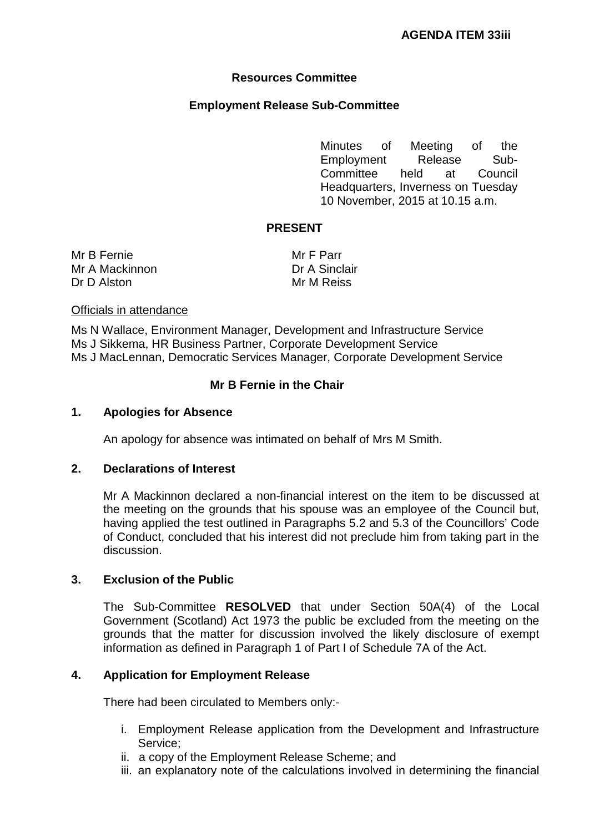# **Resources Committee**

## **Employment Release Sub-Committee**

Minutes of Meeting of the Employment Release Sub-Committee held at Council Headquarters, Inverness on Tuesday 10 November, 2015 at 10.15 a.m.

## **PRESENT**

Mr B Fernie Mr A Mackinnon Dr D Alston

Mr F Parr Dr A Sinclair Mr M Reiss

#### Officials in attendance

Ms N Wallace, Environment Manager, Development and Infrastructure Service Ms J Sikkema, HR Business Partner, Corporate Development Service Ms J MacLennan, Democratic Services Manager, Corporate Development Service

### **Mr B Fernie in the Chair**

#### **1. Apologies for Absence**

An apology for absence was intimated on behalf of Mrs M Smith.

#### **2. Declarations of Interest**

Mr A Mackinnon declared a non-financial interest on the item to be discussed at the meeting on the grounds that his spouse was an employee of the Council but, having applied the test outlined in Paragraphs 5.2 and 5.3 of the Councillors' Code of Conduct, concluded that his interest did not preclude him from taking part in the discussion.

## **3. Exclusion of the Public**

The Sub-Committee **RESOLVED** that under Section 50A(4) of the Local Government (Scotland) Act 1973 the public be excluded from the meeting on the grounds that the matter for discussion involved the likely disclosure of exempt information as defined in Paragraph 1 of Part I of Schedule 7A of the Act.

#### **4. Application for Employment Release**

There had been circulated to Members only:-

- i. Employment Release application from the Development and Infrastructure Service;
- ii. a copy of the Employment Release Scheme; and
- iii. an explanatory note of the calculations involved in determining the financial